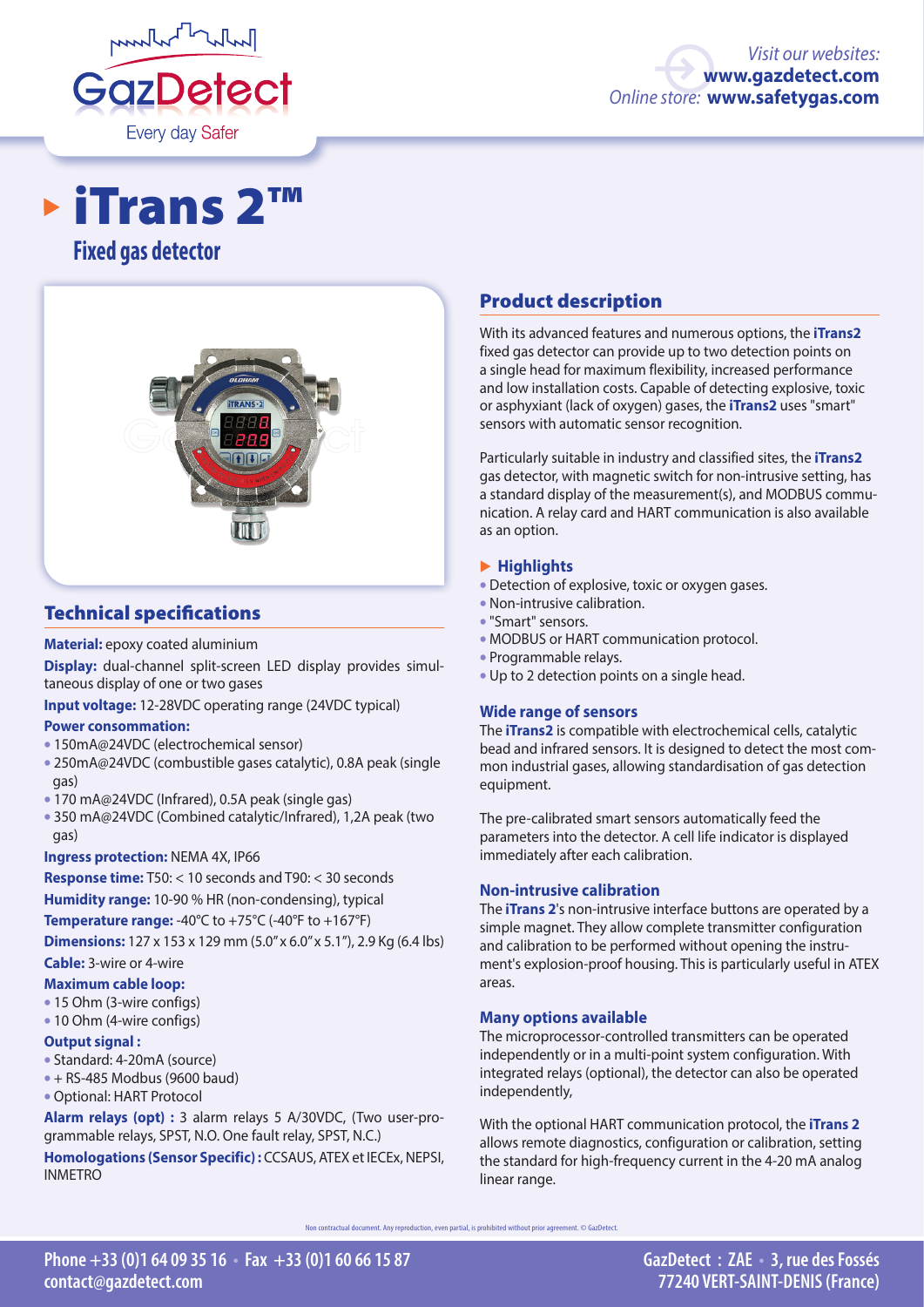

# **Fixed gas detector** iTrans 2™



# Technical specifications

#### **Material:** epoxy coated aluminium

**Display:** dual-channel split-screen LED display provides simultaneous display of one or two gases

**Input voltage:** 12-28VDC operating range (24VDC typical)

#### **Power consommation:**

- 150mA@24VDC (electrochemical sensor)
- 250mA@24VDC (combustible gases catalytic), 0.8A peak (single gas)
- 170 mA@24VDC (Infrared), 0.5A peak (single gas)
- 350 mA@24VDC (Combined catalytic/Infrared), 1,2A peak (two gas)

### **Ingress protection:** NEMA 4X, IP66

**Response time:** T50: < 10 seconds and T90: < 30 seconds **Humidity range:** 10-90 % HR (non-condensing), typical

**Temperature range:** -40°C to +75°C (-40°F to +167°F)

**Dimensions:** 127 x 153 x 129 mm (5.0" x 6.0" x 5.1"), 2.9 Kg (6.4 lbs) **Cable:** 3-wire or 4-wire

#### **Maximum cable loop:**

- 15 Ohm (3-wire configs)
- 10 Ohm (4-wire configs)

### **Output signal :**

- Standard: 4-20mA (source)
- $\bullet$  + RS-485 Modbus (9600 baud)
- Optional: HART Protocol

**Alarm relays (opt) :** 3 alarm relays 5 A/30VDC, (Two user-programmable relays, SPST, N.O. One fault relay, SPST, N.C.)

**Homologations (Sensor Specific) :** CCSAUS, ATEX et IECEx, NEPSI, INMETRO

# Product description

With its advanced features and numerous options, the **iTrans2** fixed gas detector can provide up to two detection points on a single head for maximum flexibility, increased performance and low installation costs. Capable of detecting explosive, toxic or asphyxiant (lack of oxygen) gases, the **iTrans2** uses "smart" sensors with automatic sensor recognition.

Particularly suitable in industry and classified sites, the **iTrans2**  gas detector, with magnetic switch for non-intrusive setting, has a standard display of the measurement(s), and MODBUS communication. A relay card and HART communication is also available as an option.

## � **Highlights**

- Detection of explosive, toxic or oxygen gases.
- Non-intrusive calibration.
- "Smart" sensors.
- MODBUS or HART communication protocol.
- Programmable relays.
- Up to 2 detection points on a single head.

# **Wide range of sensors**

The **iTrans2** is compatible with electrochemical cells, catalytic bead and infrared sensors. It is designed to detect the most common industrial gases, allowing standardisation of gas detection equipment.

The pre-calibrated smart sensors automatically feed the parameters into the detector. A cell life indicator is displayed immediately after each calibration.

### **Non-intrusive calibration**

The **iTrans 2**'s non-intrusive interface buttons are operated by a simple magnet. They allow complete transmitter configuration and calibration to be performed without opening the instrument's explosion-proof housing. This is particularly useful in ATEX areas.

### **Many options available**

The microprocessor-controlled transmitters can be operated independently or in a multi-point system configuration. With integrated relays (optional), the detector can also be operated independently,

With the optional HART communication protocol, the **iTrans 2** allows remote diagnostics, configuration or calibration, setting the standard for high-frequency current in the 4-20 mA analog linear range.

ntractual document. Any reproduction, even partial, is prohibited without prior agreement. © GazDetect